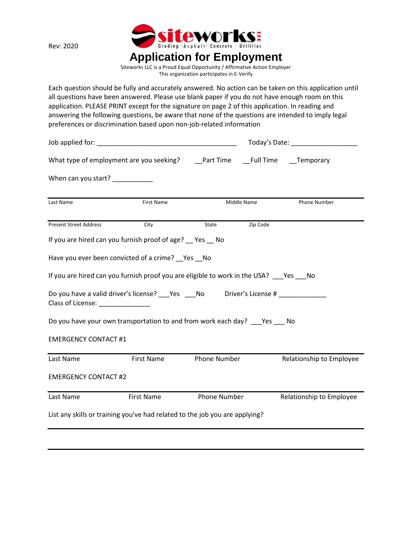Rev: 2020



Siteworks LLC is a Proud Equal Opportunity / Affirmative Action Employer This organization participates in E‐Verify

Each question should be fully and accurately answered. No action can be taken on this application until all questions have been answered. Please use blank paper if you do not have enough room on this application. PLEASE PRINT except for the signature on page 2 of this application. In reading and answering the following questions, be aware that none of the questions are intended to imply legal preferences or discrimination based upon non‐job‐related information

|                                   |                                                                                         |              | Today's Date: ____________________ |                          |  |
|-----------------------------------|-----------------------------------------------------------------------------------------|--------------|------------------------------------|--------------------------|--|
|                                   |                                                                                         |              |                                    |                          |  |
| When can you start?               |                                                                                         |              |                                    |                          |  |
| Last Name                         | First Name                                                                              |              | Middle Name                        | Phone Number             |  |
| <b>Present Street Address</b>     | City                                                                                    | State        | Zip Code                           |                          |  |
|                                   | If you are hired can you furnish proof of age? Pes No                                   |              |                                    |                          |  |
|                                   | Have you ever been convicted of a crime? __ Yes __ No                                   |              |                                    |                          |  |
|                                   | If you are hired can you furnish proof you are eligible to work in the USA? Yes No      |              |                                    |                          |  |
| Class of License: _______________ | Do you have a valid driver's license? ____Yes _____No diriver's License # _____________ |              |                                    |                          |  |
|                                   | Do you have your own transportation to and from work each day? ___ Yes ___ No           |              |                                    |                          |  |
| <b>EMERGENCY CONTACT #1</b>       |                                                                                         |              |                                    |                          |  |
| Last Name                         | First Name                                                                              | Phone Number |                                    | Relationship to Employee |  |
| <b>EMERGENCY CONTACT #2</b>       |                                                                                         |              |                                    |                          |  |
| Last Name                         | First Name                                                                              | Phone Number |                                    | Relationship to Employee |  |
|                                   | List any skills or training you've had related to the job you are applying?             |              |                                    |                          |  |
|                                   |                                                                                         |              |                                    |                          |  |